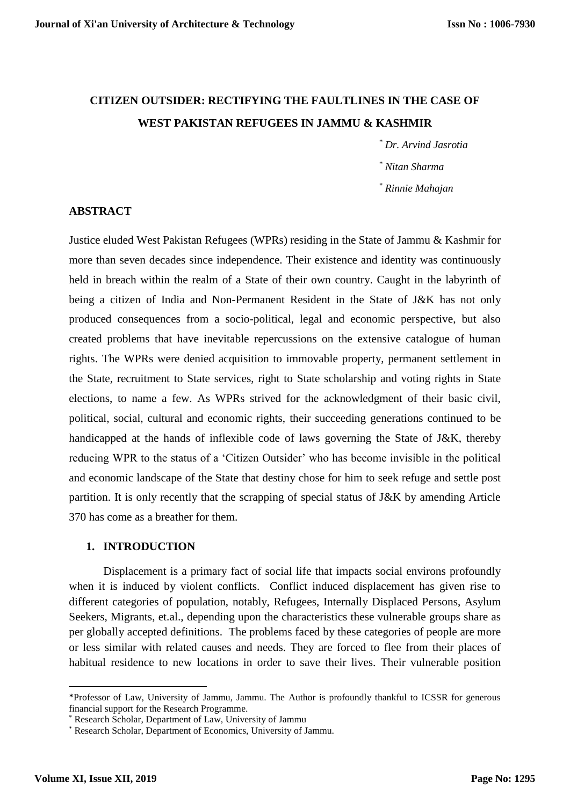# **CITIZEN OUTSIDER: RECTIFYING THE FAULTLINES IN THE CASE OF WEST PAKISTAN REFUGEES IN JAMMU & KASHMIR**

*\* Dr. Arvind Jasrotia*

*\* Nitan Sharma*

*\* Rinnie Mahajan*

#### **ABSTRACT**

Justice eluded West Pakistan Refugees (WPRs) residing in the State of Jammu & Kashmir for more than seven decades since independence. Their existence and identity was continuously held in breach within the realm of a State of their own country. Caught in the labyrinth of being a citizen of India and Non-Permanent Resident in the State of J&K has not only produced consequences from a socio-political, legal and economic perspective, but also created problems that have inevitable repercussions on the extensive catalogue of human rights. The WPRs were denied acquisition to immovable property, permanent settlement in the State, recruitment to State services, right to State scholarship and voting rights in State elections, to name a few. As WPRs strived for the acknowledgment of their basic civil, political, social, cultural and economic rights, their succeeding generations continued to be handicapped at the hands of inflexible code of laws governing the State of J&K, thereby reducing WPR to the status of a 'Citizen Outsider' who has become invisible in the political and economic landscape of the State that destiny chose for him to seek refuge and settle post partition. It is only recently that the scrapping of special status of J&K by amending Article 370 has come as a breather for them.

#### **1. INTRODUCTION**

Displacement is a primary fact of social life that impacts social environs profoundly when it is induced by violent conflicts. Conflict induced displacement has given rise to different categories of population, notably, Refugees, Internally Displaced Persons, Asylum Seekers, Migrants, et.al., depending upon the characteristics these vulnerable groups share as per globally accepted definitions. The problems faced by these categories of people are more or less similar with related causes and needs. They are forced to flee from their places of habitual residence to new locations in order to save their lives. Their vulnerable position

**.** 

<sup>\*</sup>Professor of Law, University of Jammu, Jammu. The Author is profoundly thankful to ICSSR for generous financial support for the Research Programme.

Research Scholar, Department of Law, University of Jammu

<sup>\*</sup> Research Scholar, Department of Economics, University of Jammu.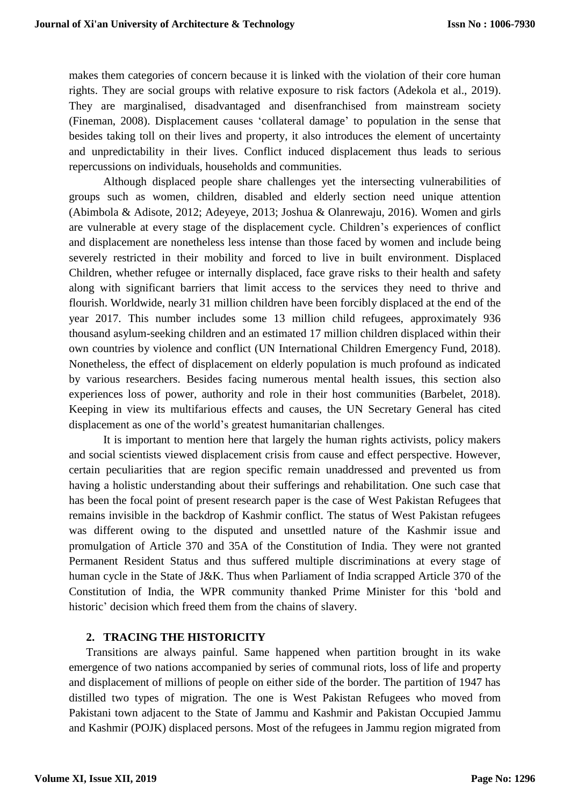makes them categories of concern because it is linked with the violation of their core human rights. They are social groups with relative exposure to risk factors (Adekola et al., 2019). They are marginalised, disadvantaged and disenfranchised from mainstream society (Fineman, 2008). Displacement causes 'collateral damage' to population in the sense that besides taking toll on their lives and property, it also introduces the element of uncertainty and unpredictability in their lives. Conflict induced displacement thus leads to serious repercussions on individuals, households and communities.

Although displaced people share challenges yet the intersecting vulnerabilities of groups such as women, children, disabled and elderly section need unique attention (Abimbola & Adisote, 2012; Adeyeye, 2013; Joshua & Olanrewaju, 2016). Women and girls are vulnerable at every stage of the displacement cycle. Children's experiences of conflict and displacement are nonetheless less intense than those faced by women and include being severely restricted in their mobility and forced to live in built environment. Displaced Children, whether refugee or internally displaced, face grave risks to their health and safety along with significant barriers that limit access to the services they need to thrive and flourish. Worldwide, nearly 31 million children have been forcibly displaced at the end of the year 2017. This number includes some 13 million child refugees, approximately 936 thousand asylum-seeking children and an estimated 17 million children displaced within their own countries by violence and conflict (UN International Children Emergency Fund, 2018). Nonetheless, the effect of displacement on elderly population is much profound as indicated by various researchers. Besides facing numerous mental health issues, this section also experiences loss of power, authority and role in their host communities (Barbelet, 2018). Keeping in view its multifarious effects and causes, the UN Secretary General has cited displacement as one of the world's greatest humanitarian challenges.

It is important to mention here that largely the human rights activists, policy makers and social scientists viewed displacement crisis from cause and effect perspective. However, certain peculiarities that are region specific remain unaddressed and prevented us from having a holistic understanding about their sufferings and rehabilitation. One such case that has been the focal point of present research paper is the case of West Pakistan Refugees that remains invisible in the backdrop of Kashmir conflict. The status of West Pakistan refugees was different owing to the disputed and unsettled nature of the Kashmir issue and promulgation of Article 370 and 35A of the Constitution of India. They were not granted Permanent Resident Status and thus suffered multiple discriminations at every stage of human cycle in the State of J&K. Thus when Parliament of India scrapped Article 370 of the Constitution of India, the WPR community thanked Prime Minister for this 'bold and historic' decision which freed them from the chains of slavery.

# **2. TRACING THE HISTORICITY**

Transitions are always painful. Same happened when partition brought in its wake emergence of two nations accompanied by series of communal riots, loss of life and property and displacement of millions of people on either side of the border. The partition of 1947 has distilled two types of migration. The one is West Pakistan Refugees who moved from Pakistani town adjacent to the State of Jammu and Kashmir and Pakistan Occupied Jammu and Kashmir (POJK) displaced persons. Most of the refugees in Jammu region migrated from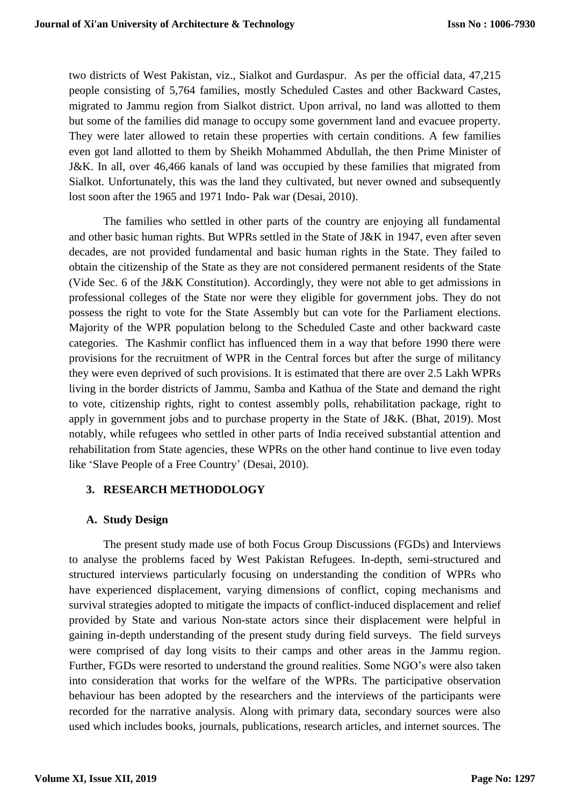two districts of West Pakistan, viz., Sialkot and Gurdaspur. As per the official data, 47,215 people consisting of 5,764 families, mostly Scheduled Castes and other Backward Castes, migrated to Jammu region from Sialkot district. Upon arrival, no land was allotted to them but some of the families did manage to occupy some government land and evacuee property. They were later allowed to retain these properties with certain conditions. A few families even got land allotted to them by Sheikh Mohammed Abdullah, the then Prime Minister of J&K. In all, over 46,466 kanals of land was occupied by these families that migrated from Sialkot. Unfortunately, this was the land they cultivated, but never owned and subsequently lost soon after the 1965 and 1971 Indo- Pak war (Desai, 2010).

The families who settled in other parts of the country are enjoying all fundamental and other basic human rights. But WPRs settled in the State of J&K in 1947, even after seven decades, are not provided fundamental and basic human rights in the State. They failed to obtain the citizenship of the State as they are not considered permanent residents of the State (Vide Sec. 6 of the J&K Constitution). Accordingly, they were not able to get admissions in professional colleges of the State nor were they eligible for government jobs. They do not possess the right to vote for the State Assembly but can vote for the Parliament elections. Majority of the WPR population belong to the Scheduled Caste and other backward caste categories. The Kashmir conflict has influenced them in a way that before 1990 there were provisions for the recruitment of WPR in the Central forces but after the surge of militancy they were even deprived of such provisions. It is estimated that there are over 2.5 Lakh WPRs living in the border districts of Jammu, Samba and Kathua of the State and demand the right to vote, citizenship rights, right to contest assembly polls, rehabilitation package, right to apply in government jobs and to purchase property in the State of J&K. (Bhat, 2019). Most notably, while refugees who settled in other parts of India received substantial attention and rehabilitation from State agencies, these WPRs on the other hand continue to live even today like 'Slave People of a Free Country' (Desai, 2010).

# **3. RESEARCH METHODOLOGY**

# **A. Study Design**

The present study made use of both Focus Group Discussions (FGDs) and Interviews to analyse the problems faced by West Pakistan Refugees. In-depth, semi-structured and structured interviews particularly focusing on understanding the condition of WPRs who have experienced displacement, varying dimensions of conflict, coping mechanisms and survival strategies adopted to mitigate the impacts of conflict-induced displacement and relief provided by State and various Non-state actors since their displacement were helpful in gaining in-depth understanding of the present study during field surveys. The field surveys were comprised of day long visits to their camps and other areas in the Jammu region. Further, FGDs were resorted to understand the ground realities. Some NGO's were also taken into consideration that works for the welfare of the WPRs. The participative observation behaviour has been adopted by the researchers and the interviews of the participants were recorded for the narrative analysis. Along with primary data, secondary sources were also used which includes books, journals, publications, research articles, and internet sources. The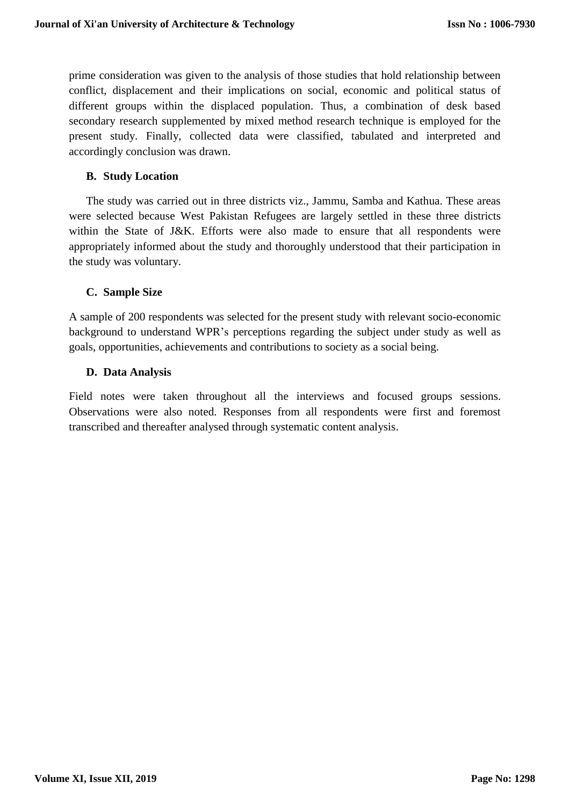prime consideration was given to the analysis of those studies that hold relationship between conflict, displacement and their implications on social, economic and political status of different groups within the displaced population. Thus, a combination of desk based secondary research supplemented by mixed method research technique is employed for the present study. Finally, collected data were classified, tabulated and interpreted and accordingly conclusion was drawn.

# **B. Study Location**

The study was carried out in three districts viz., Jammu, Samba and Kathua. These areas were selected because West Pakistan Refugees are largely settled in these three districts within the State of J&K. Efforts were also made to ensure that all respondents were appropriately informed about the study and thoroughly understood that their participation in the study was voluntary.

# **C. Sample Size**

A sample of 200 respondents was selected for the present study with relevant socio-economic background to understand WPR's perceptions regarding the subject under study as well as goals, opportunities, achievements and contributions to society as a social being.

# **D. Data Analysis**

Field notes were taken throughout all the interviews and focused groups sessions. Observations were also noted. Responses from all respondents were first and foremost transcribed and thereafter analysed through systematic content analysis.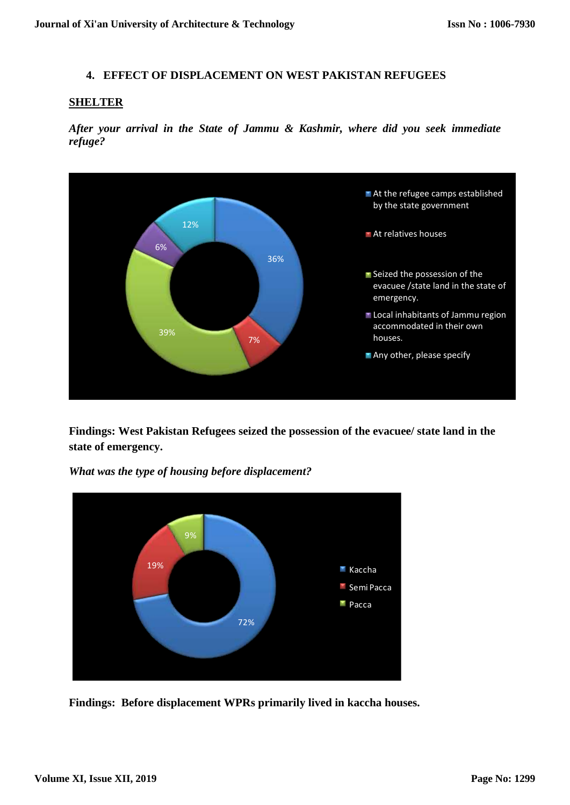#### **4. EFFECT OF DISPLACEMENT ON WEST PAKISTAN REFUGEES**

#### **SHELTER**

*After your arrival in the State of Jammu & Kashmir, where did you seek immediate refuge?*



**Findings: West Pakistan Refugees seized the possession of the evacuee/ state land in the state of emergency.**



*What was the type of housing before displacement?*

**Findings: Before displacement WPRs primarily lived in kaccha houses.**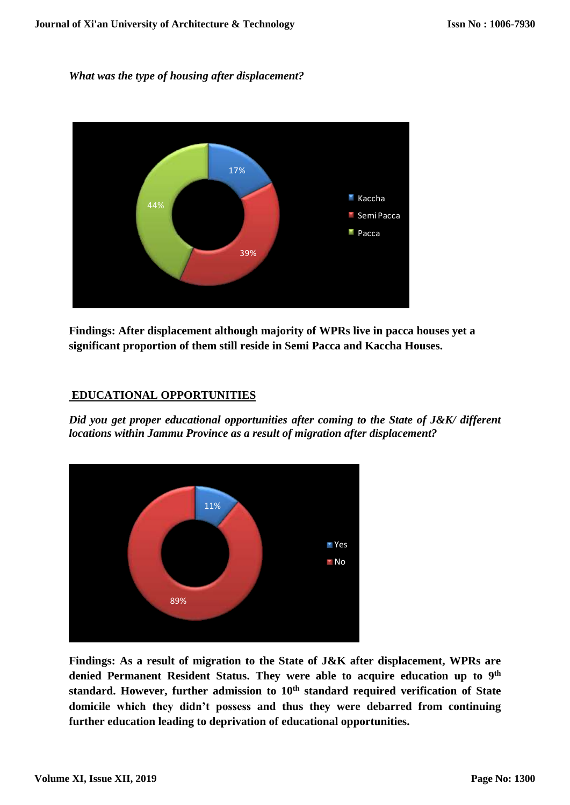#### *What was the type of housing after displacement?*



**Findings: After displacement although majority of WPRs live in pacca houses yet a significant proportion of them still reside in Semi Pacca and Kaccha Houses.**

# **EDUCATIONAL OPPORTUNITIES**

*Did you get proper educational opportunities after coming to the State of J&K/ different locations within Jammu Province as a result of migration after displacement?*



**Findings: As a result of migration to the State of J&K after displacement, WPRs are denied Permanent Resident Status. They were able to acquire education up to 9 th standard. However, further admission to 10th standard required verification of State domicile which they didn't possess and thus they were debarred from continuing further education leading to deprivation of educational opportunities.**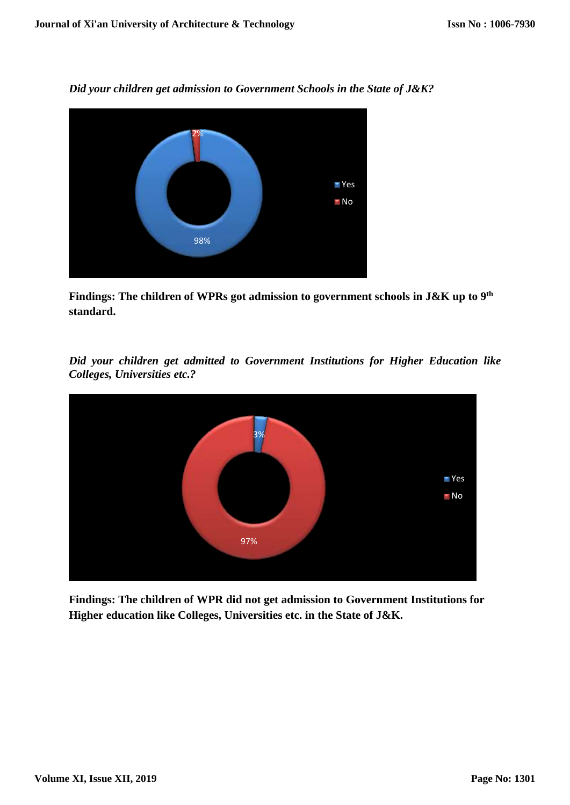*Did your children get admission to Government Schools in the State of J&K?*



**Findings: The children of WPRs got admission to government schools in J&K up to 9 th standard.**

*Did your children get admitted to Government Institutions for Higher Education like Colleges, Universities etc.?*



**Findings: The children of WPR did not get admission to Government Institutions for Higher education like Colleges, Universities etc. in the State of J&K.**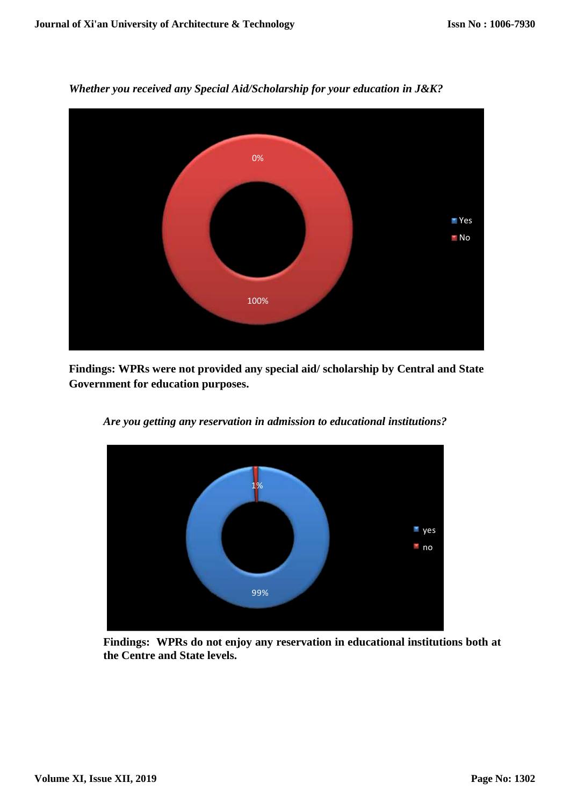

*Whether you received any Special Aid/Scholarship for your education in J&K?*

**Findings: WPRs were not provided any special aid/ scholarship by Central and State Government for education purposes.**



*Are you getting any reservation in admission to educational institutions?*

**Findings: WPRs do not enjoy any reservation in educational institutions both at the Centre and State levels.**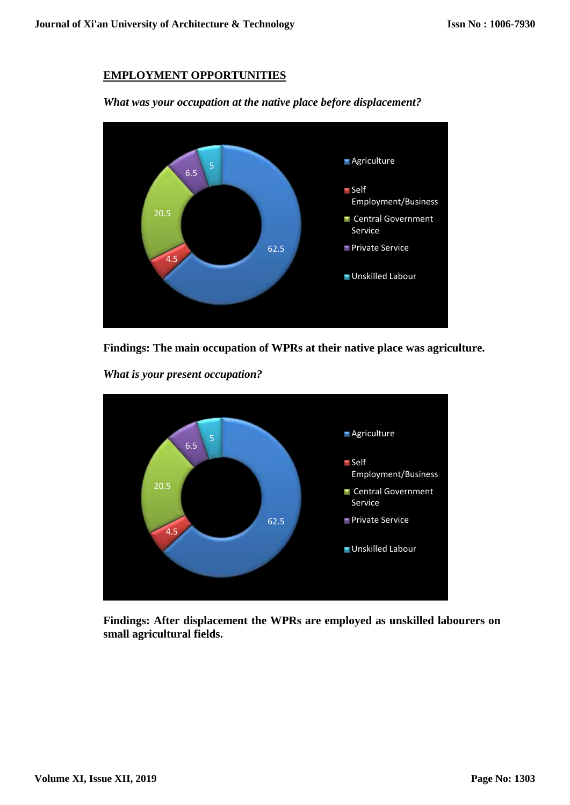# **EMPLOYMENT OPPORTUNITIES**



*What was your occupation at the native place before displacement?*



*What is your present occupation?*



**Findings: After displacement the WPRs are employed as unskilled labourers on small agricultural fields.**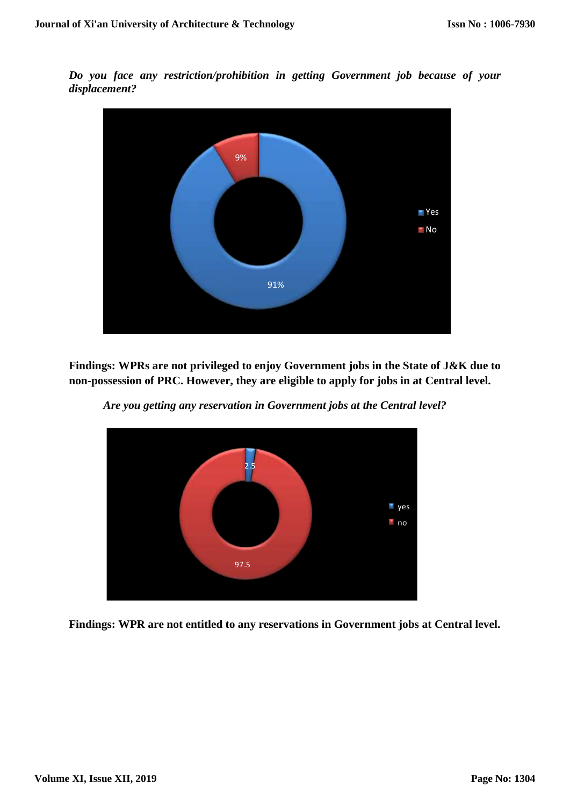*Do you face any restriction/prohibition in getting Government job because of your displacement?*



**Findings: WPRs are not privileged to enjoy Government jobs in the State of J&K due to non-possession of PRC. However, they are eligible to apply for jobs in at Central level.**



*Are you getting any reservation in Government jobs at the Central level?*

**Findings: WPR are not entitled to any reservations in Government jobs at Central level.**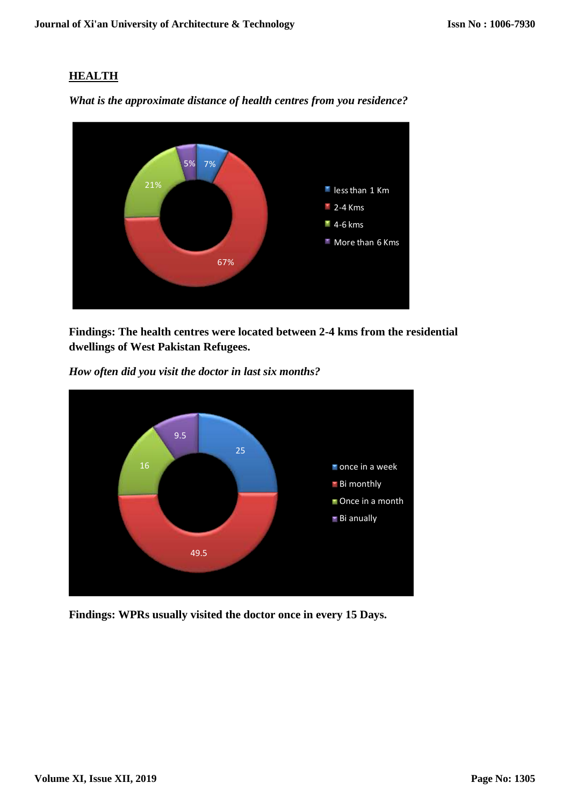# **HEALTH**



*What is the approximate distance of health centres from you residence?*

**Findings: The health centres were located between 2-4 kms from the residential dwellings of West Pakistan Refugees.**





**Findings: WPRs usually visited the doctor once in every 15 Days.**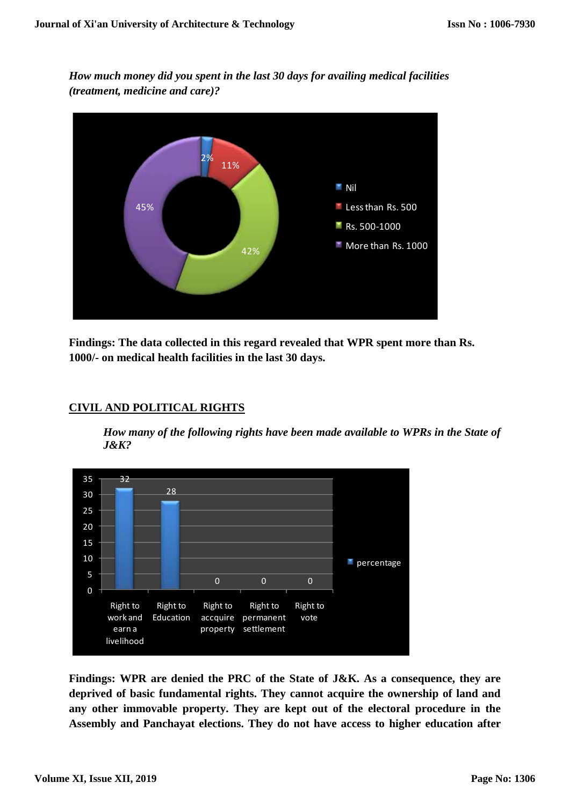*How much money did you spent in the last 30 days for availing medical facilities (treatment, medicine and care)?*



**Findings: The data collected in this regard revealed that WPR spent more than Rs. 1000/- on medical health facilities in the last 30 days.**



# **CIVIL AND POLITICAL RIGHTS**

*How many of the following rights have been made available to WPRs in the State of J&K?*

**Findings: WPR are denied the PRC of the State of J&K. As a consequence, they are deprived of basic fundamental rights. They cannot acquire the ownership of land and any other immovable property. They are kept out of the electoral procedure in the Assembly and Panchayat elections. They do not have access to higher education after**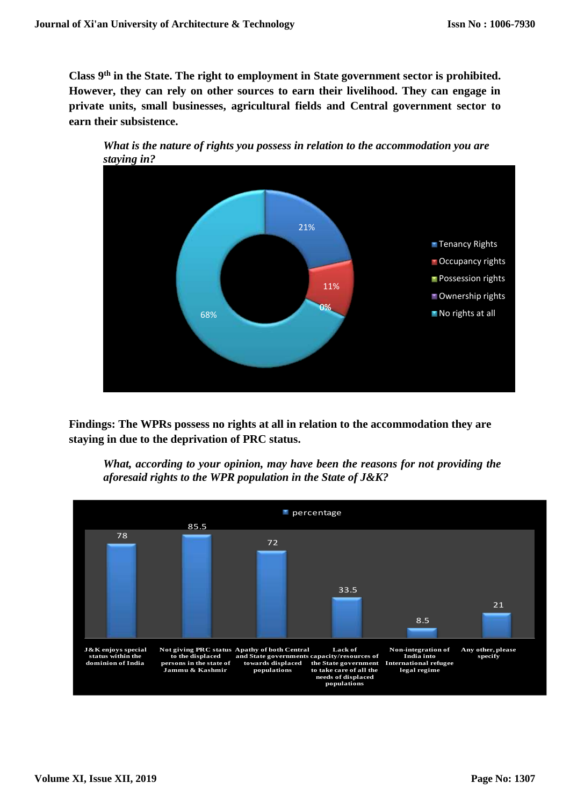**Class 9th in the State. The right to employment in State government sector is prohibited. However, they can rely on other sources to earn their livelihood. They can engage in private units, small businesses, agricultural fields and Central government sector to earn their subsistence.** 





**Findings: The WPRs possess no rights at all in relation to the accommodation they are staying in due to the deprivation of PRC status.**

*What, according to your opinion, may have been the reasons for not providing the aforesaid rights to the WPR population in the State of J&K?*

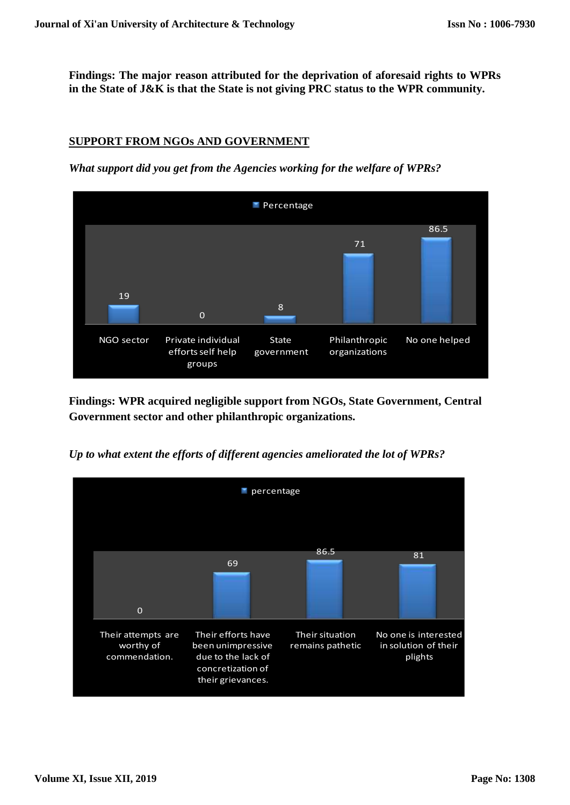**Findings: The major reason attributed for the deprivation of aforesaid rights to WPRs in the State of J&K is that the State is not giving PRC status to the WPR community.**

# **SUPPORT FROM NGOs AND GOVERNMENT**

*What support did you get from the Agencies working for the welfare of WPRs?*



**Findings: WPR acquired negligible support from NGOs, State Government, Central Government sector and other philanthropic organizations.**

*Up to what extent the efforts of different agencies ameliorated the lot of WPRs?*

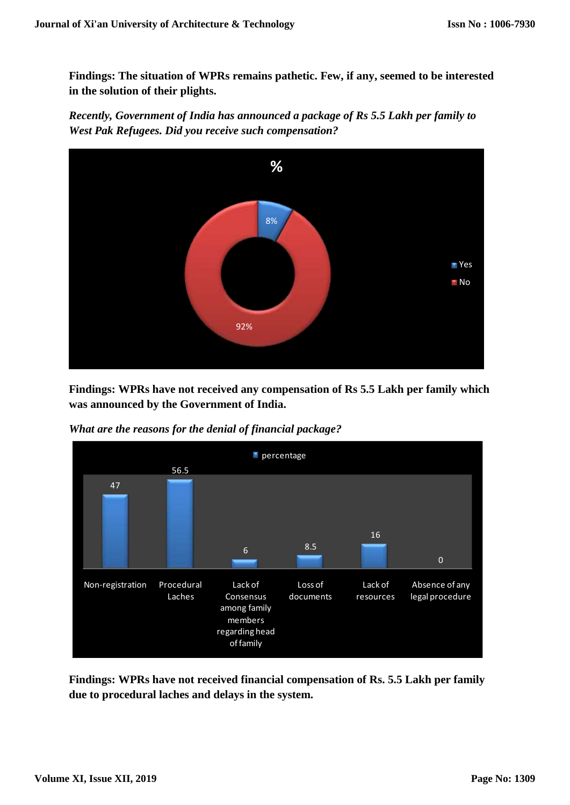**Findings: The situation of WPRs remains pathetic. Few, if any, seemed to be interested in the solution of their plights.**

*Recently, Government of India has announced a package of Rs 5.5 Lakh per family to West Pak Refugees. Did you receive such compensation?*



**Findings: WPRs have not received any compensation of Rs 5.5 Lakh per family which was announced by the Government of India.**

*What are the reasons for the denial of financial package?*



**Findings: WPRs have not received financial compensation of Rs. 5.5 Lakh per family due to procedural laches and delays in the system.**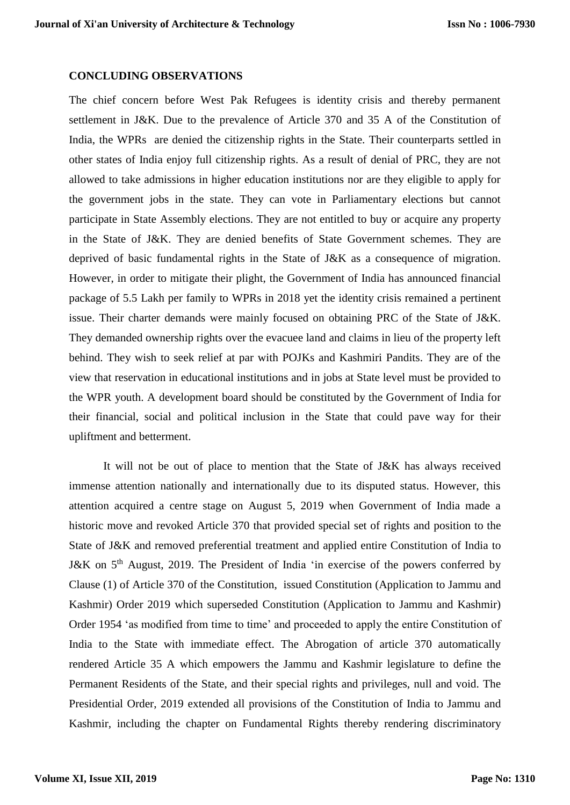#### **CONCLUDING OBSERVATIONS**

The chief concern before West Pak Refugees is identity crisis and thereby permanent settlement in J&K. Due to the prevalence of Article 370 and 35 A of the Constitution of India, the WPRs are denied the citizenship rights in the State. Their counterparts settled in other states of India enjoy full citizenship rights. As a result of denial of PRC, they are not allowed to take admissions in higher education institutions nor are they eligible to apply for the government jobs in the state. They can vote in Parliamentary elections but cannot participate in State Assembly elections. They are not entitled to buy or acquire any property in the State of J&K. They are denied benefits of State Government schemes. They are deprived of basic fundamental rights in the State of J&K as a consequence of migration. However, in order to mitigate their plight, the Government of India has announced financial package of 5.5 Lakh per family to WPRs in 2018 yet the identity crisis remained a pertinent issue. Their charter demands were mainly focused on obtaining PRC of the State of J&K. They demanded ownership rights over the evacuee land and claims in lieu of the property left behind. They wish to seek relief at par with POJKs and Kashmiri Pandits. They are of the view that reservation in educational institutions and in jobs at State level must be provided to the WPR youth. A development board should be constituted by the Government of India for their financial, social and political inclusion in the State that could pave way for their upliftment and betterment.

It will not be out of place to mention that the State of J&K has always received immense attention nationally and internationally due to its disputed status. However, this attention acquired a centre stage on August 5, 2019 when Government of India made a historic move and revoked Article 370 that provided special set of rights and position to the State of J&K and removed preferential treatment and applied entire Constitution of India to J&K on 5<sup>th</sup> August, 2019. The President of India 'in exercise of the powers conferred by Clause (1) of Article 370 of the Constitution, issued Constitution (Application to Jammu and Kashmir) Order 2019 which superseded Constitution (Application to Jammu and Kashmir) Order 1954 'as modified from time to time' and proceeded to apply the entire Constitution of India to the State with immediate effect. The Abrogation of article 370 automatically rendered Article 35 A which empowers the Jammu and Kashmir legislature to define the Permanent Residents of the State, and their special rights and privileges, null and void. The Presidential Order, 2019 extended all provisions of the Constitution of India to Jammu and Kashmir, including the chapter on Fundamental Rights thereby rendering discriminatory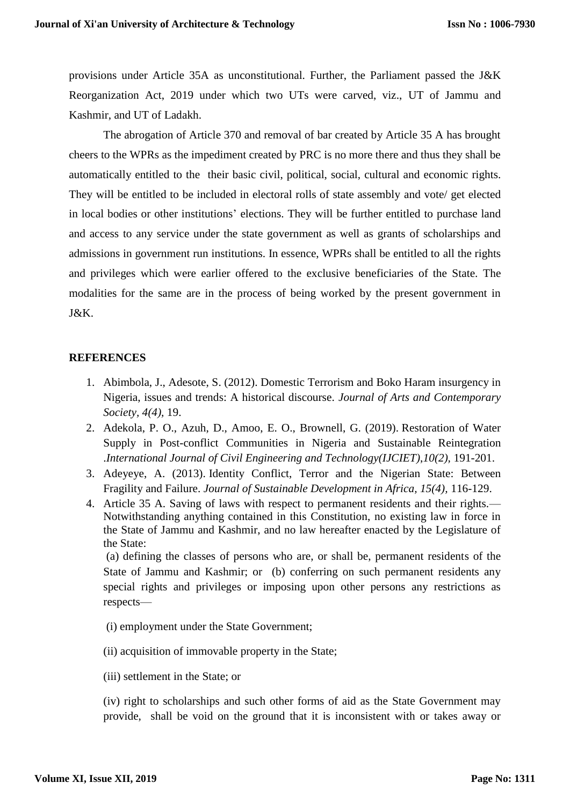provisions under Article 35A as unconstitutional. Further, the Parliament passed the J&K Reorganization Act, 2019 under which two UTs were carved, viz., UT of Jammu and Kashmir, and UT of Ladakh.

The abrogation of Article 370 and removal of bar created by Article 35 A has brought cheers to the WPRs as the impediment created by PRC is no more there and thus they shall be automatically entitled to the their basic civil, political, social, cultural and economic rights. They will be entitled to be included in electoral rolls of state assembly and vote/ get elected in local bodies or other institutions' elections. They will be further entitled to purchase land and access to any service under the state government as well as grants of scholarships and admissions in government run institutions. In essence, WPRs shall be entitled to all the rights and privileges which were earlier offered to the exclusive beneficiaries of the State. The modalities for the same are in the process of being worked by the present government in J&K.

# **REFERENCES**

- 1. Abimbola, J., Adesote, S. (2012). Domestic Terrorism and Boko Haram insurgency in Nigeria, issues and trends: A historical discourse. *Journal of Arts and Contemporary Society, 4(4),* 19.
- 2. Adekola, P. O., Azuh, D., Amoo, E. O., Brownell, G. (2019). Restoration of Water Supply in Post-conflict Communities in Nigeria and Sustainable Reintegration .*International Journal of Civil Engineering and Technology(IJCIET)*,*10(2),* 191-201.
- 3. Adeyeye, A. (2013). Identity Conflict, Terror and the Nigerian State: Between Fragility and Failure. *Journal of Sustainable Development in Africa, 15(4),* 116-129.
- 4. Article 35 A. Saving of laws with respect to permanent residents and their rights.— Notwithstanding anything contained in this Constitution, no existing law in force in the State of Jammu and Kashmir, and no law hereafter enacted by the Legislature of the State:

(a) defining the classes of persons who are, or shall be, permanent residents of the State of Jammu and Kashmir; or (b) conferring on such permanent residents any special rights and privileges or imposing upon other persons any restrictions as respects—

- (i) employment under the State Government;
- (ii) acquisition of immovable property in the State;
- (iii) settlement in the State; or

(iv) right to scholarships and such other forms of aid as the State Government may provide, shall be void on the ground that it is inconsistent with or takes away or